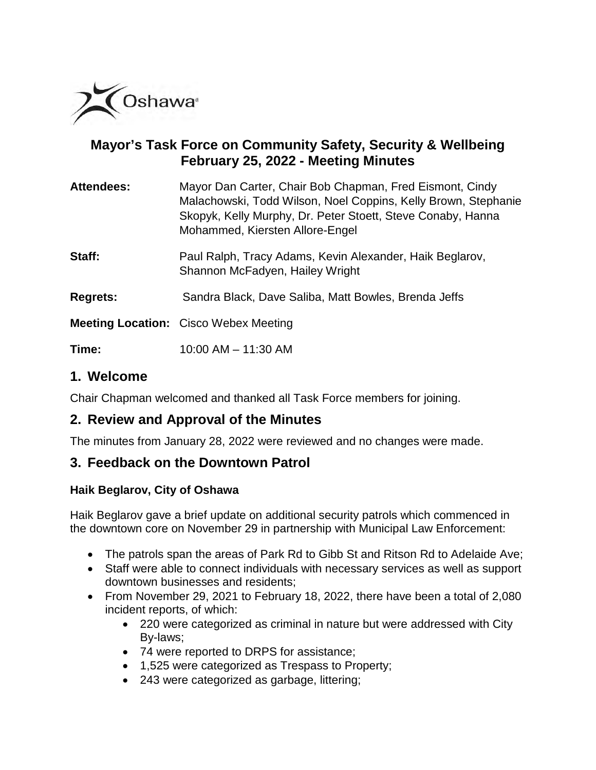

# **Mayor's Task Force on Community Safety, Security & Wellbeing February 25, 2022 - Meeting Minutes**

| <b>Attendees:</b> | Mayor Dan Carter, Chair Bob Chapman, Fred Eismont, Cindy<br>Malachowski, Todd Wilson, Noel Coppins, Kelly Brown, Stephanie<br>Skopyk, Kelly Murphy, Dr. Peter Stoett, Steve Conaby, Hanna<br>Mohammed, Kiersten Allore-Engel |
|-------------------|------------------------------------------------------------------------------------------------------------------------------------------------------------------------------------------------------------------------------|
| Staff:            | Paul Ralph, Tracy Adams, Kevin Alexander, Haik Beglarov,<br>Shannon McFadyen, Hailey Wright                                                                                                                                  |
| <b>Regrets:</b>   | Sandra Black, Dave Saliba, Matt Bowles, Brenda Jeffs                                                                                                                                                                         |
|                   | <b>Meeting Location:</b> Cisco Webex Meeting                                                                                                                                                                                 |
| Time:             | 10:00 AM - 11:30 AM                                                                                                                                                                                                          |

# **1. Welcome**

Chair Chapman welcomed and thanked all Task Force members for joining.

# **2. Review and Approval of the Minutes**

The minutes from January 28, 2022 were reviewed and no changes were made.

# **3. Feedback on the Downtown Patrol**

### **Haik Beglarov, City of Oshawa**

Haik Beglarov gave a brief update on additional security patrols which commenced in the downtown core on November 29 in partnership with Municipal Law Enforcement:

- The patrols span the areas of Park Rd to Gibb St and Ritson Rd to Adelaide Ave;
- Staff were able to connect individuals with necessary services as well as support downtown businesses and residents;
- From November 29, 2021 to February 18, 2022, there have been a total of 2,080 incident reports, of which:
	- 220 were categorized as criminal in nature but were addressed with City By-laws;
	- 74 were reported to DRPS for assistance;
	- 1,525 were categorized as Trespass to Property;
	- 243 were categorized as garbage, littering;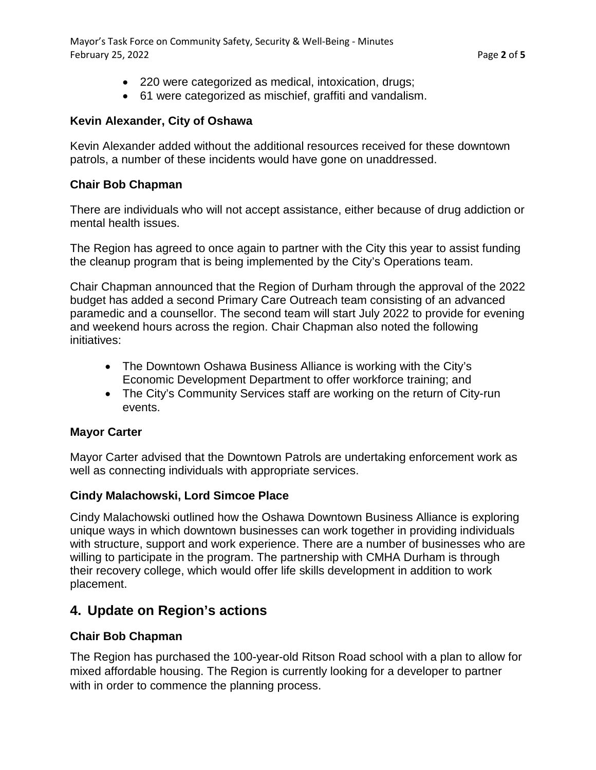Mayor's Task Force on Community Safety, Security & Well-Being - Minutes February 25, 2022 Page **2** of **5**

- 220 were categorized as medical, intoxication, drugs;
- 61 were categorized as mischief, graffiti and vandalism.

#### **Kevin Alexander, City of Oshawa**

Kevin Alexander added without the additional resources received for these downtown patrols, a number of these incidents would have gone on unaddressed.

#### **Chair Bob Chapman**

There are individuals who will not accept assistance, either because of drug addiction or mental health issues.

The Region has agreed to once again to partner with the City this year to assist funding the cleanup program that is being implemented by the City's Operations team.

Chair Chapman announced that the Region of Durham through the approval of the 2022 budget has added a second Primary Care Outreach team consisting of an advanced paramedic and a counsellor. The second team will start July 2022 to provide for evening and weekend hours across the region. Chair Chapman also noted the following initiatives:

- The Downtown Oshawa Business Alliance is working with the City's Economic Development Department to offer workforce training; and
- The City's Community Services staff are working on the return of City-run events.

#### **Mayor Carter**

Mayor Carter advised that the Downtown Patrols are undertaking enforcement work as well as connecting individuals with appropriate services.

#### **Cindy Malachowski, Lord Simcoe Place**

Cindy Malachowski outlined how the Oshawa Downtown Business Alliance is exploring unique ways in which downtown businesses can work together in providing individuals with structure, support and work experience. There are a number of businesses who are willing to participate in the program. The partnership with CMHA Durham is through their recovery college, which would offer life skills development in addition to work placement.

# **4. Update on Region's actions**

#### **Chair Bob Chapman**

The Region has purchased the 100-year-old Ritson Road school with a plan to allow for mixed affordable housing. The Region is currently looking for a developer to partner with in order to commence the planning process.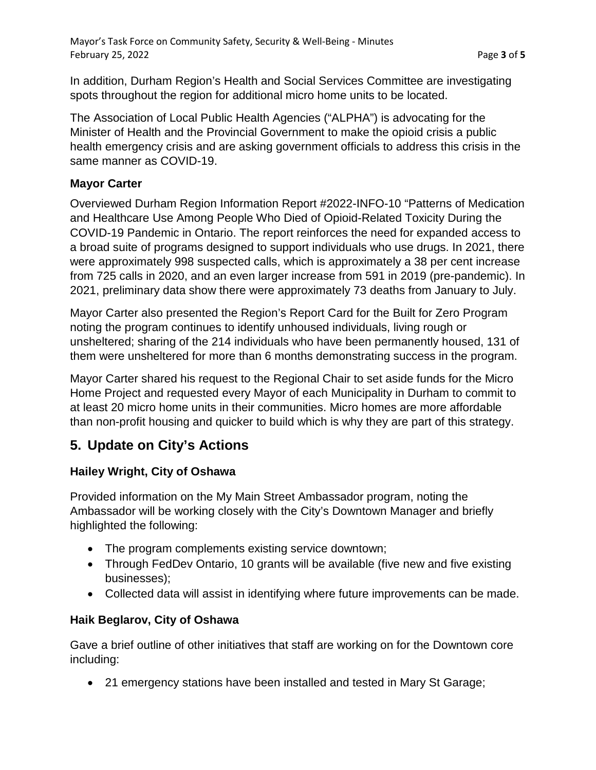In addition, Durham Region's Health and Social Services Committee are investigating spots throughout the region for additional micro home units to be located.

The Association of Local Public Health Agencies ("ALPHA") is advocating for the Minister of Health and the Provincial Government to make the opioid crisis a public health emergency crisis and are asking government officials to address this crisis in the same manner as COVID-19.

### **Mayor Carter**

Overviewed Durham Region Information Report #2022-INFO-10 "Patterns of Medication and Healthcare Use Among People Who Died of Opioid-Related Toxicity During the COVID-19 Pandemic in Ontario. The report reinforces the need for expanded access to a broad suite of programs designed to support individuals who use drugs. In 2021, there were approximately 998 suspected calls, which is approximately a 38 per cent increase from 725 calls in 2020, and an even larger increase from 591 in 2019 (pre-pandemic). In 2021, preliminary data show there were approximately 73 deaths from January to July.

Mayor Carter also presented the Region's Report Card for the Built for Zero Program noting the program continues to identify unhoused individuals, living rough or unsheltered; sharing of the 214 individuals who have been permanently housed, 131 of them were unsheltered for more than 6 months demonstrating success in the program.

Mayor Carter shared his request to the Regional Chair to set aside funds for the Micro Home Project and requested every Mayor of each Municipality in Durham to commit to at least 20 micro home units in their communities. Micro homes are more affordable than non-profit housing and quicker to build which is why they are part of this strategy.

# **5. Update on City's Actions**

# **Hailey Wright, City of Oshawa**

Provided information on the My Main Street Ambassador program, noting the Ambassador will be working closely with the City's Downtown Manager and briefly highlighted the following:

- The program complements existing service downtown;
- Through FedDev Ontario, 10 grants will be available (five new and five existing businesses);
- Collected data will assist in identifying where future improvements can be made.

# **Haik Beglarov, City of Oshawa**

Gave a brief outline of other initiatives that staff are working on for the Downtown core including:

• 21 emergency stations have been installed and tested in Mary St Garage;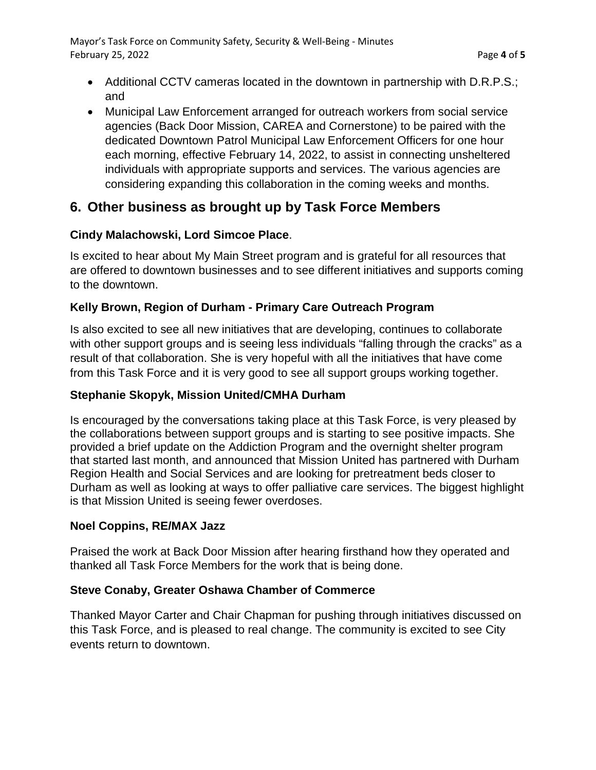Mayor's Task Force on Community Safety, Security & Well-Being - Minutes February 25, 2022 **Page 4** of 5

- Additional CCTV cameras located in the downtown in partnership with D.R.P.S.; and
- Municipal Law Enforcement arranged for outreach workers from social service agencies (Back Door Mission, CAREA and Cornerstone) to be paired with the dedicated Downtown Patrol Municipal Law Enforcement Officers for one hour each morning, effective February 14, 2022, to assist in connecting unsheltered individuals with appropriate supports and services. The various agencies are considering expanding this collaboration in the coming weeks and months.

# **6. Other business as brought up by Task Force Members**

## **Cindy Malachowski, Lord Simcoe Place**.

Is excited to hear about My Main Street program and is grateful for all resources that are offered to downtown businesses and to see different initiatives and supports coming to the downtown.

# **Kelly Brown, Region of Durham - Primary Care Outreach Program**

Is also excited to see all new initiatives that are developing, continues to collaborate with other support groups and is seeing less individuals "falling through the cracks" as a result of that collaboration. She is very hopeful with all the initiatives that have come from this Task Force and it is very good to see all support groups working together.

### **Stephanie Skopyk, Mission United/CMHA Durham**

Is encouraged by the conversations taking place at this Task Force, is very pleased by the collaborations between support groups and is starting to see positive impacts. She provided a brief update on the Addiction Program and the overnight shelter program that started last month, and announced that Mission United has partnered with Durham Region Health and Social Services and are looking for pretreatment beds closer to Durham as well as looking at ways to offer palliative care services. The biggest highlight is that Mission United is seeing fewer overdoses.

### **Noel Coppins, RE/MAX Jazz**

Praised the work at Back Door Mission after hearing firsthand how they operated and thanked all Task Force Members for the work that is being done.

### **Steve Conaby, Greater Oshawa Chamber of Commerce**

Thanked Mayor Carter and Chair Chapman for pushing through initiatives discussed on this Task Force, and is pleased to real change. The community is excited to see City events return to downtown.